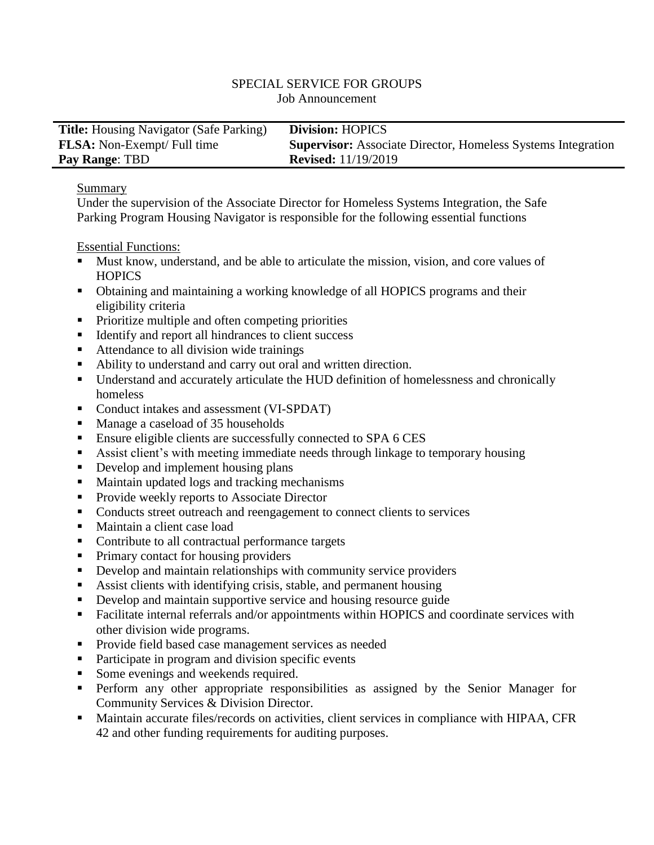#### SPECIAL SERVICE FOR GROUPS Job Announcement

| <b>Title:</b> Housing Navigator (Safe Parking) | <b>Division: HOPICS</b>                                             |
|------------------------------------------------|---------------------------------------------------------------------|
| <b>FLSA:</b> Non-Exempt/ Full time             | <b>Supervisor:</b> Associate Director, Homeless Systems Integration |
| <b>Pay Range: TBD</b>                          | <b>Revised:</b> 11/19/2019                                          |

### Summary

Under the supervision of the Associate Director for Homeless Systems Integration, the Safe Parking Program Housing Navigator is responsible for the following essential functions

Essential Functions:

- Must know, understand, and be able to articulate the mission, vision, and core values of **HOPICS**
- Obtaining and maintaining a working knowledge of all HOPICS programs and their eligibility criteria
- Prioritize multiple and often competing priorities
- Identify and report all hindrances to client success
- Attendance to all division wide trainings
- Ability to understand and carry out oral and written direction.
- Understand and accurately articulate the HUD definition of homelessness and chronically homeless
- Conduct intakes and assessment (VI-SPDAT)
- Manage a caseload of 35 households
- **Ensure eligible clients are successfully connected to SPA 6 CES**
- Assist client's with meeting immediate needs through linkage to temporary housing
- Develop and implement housing plans
- Maintain updated logs and tracking mechanisms
- **Provide weekly reports to Associate Director**
- Conducts street outreach and reengagement to connect clients to services
- Maintain a client case load
- Contribute to all contractual performance targets
- Primary contact for housing providers
- Develop and maintain relationships with community service providers
- Assist clients with identifying crisis, stable, and permanent housing
- Develop and maintain supportive service and housing resource guide
- Facilitate internal referrals and/or appointments within HOPICS and coordinate services with other division wide programs.
- **Provide field based case management services as needed**
- Participate in program and division specific events
- Some evenings and weekends required.
- **Perform any other appropriate responsibilities as assigned by the Senior Manager for** Community Services & Division Director.
- Maintain accurate files/records on activities, client services in compliance with HIPAA, CFR 42 and other funding requirements for auditing purposes.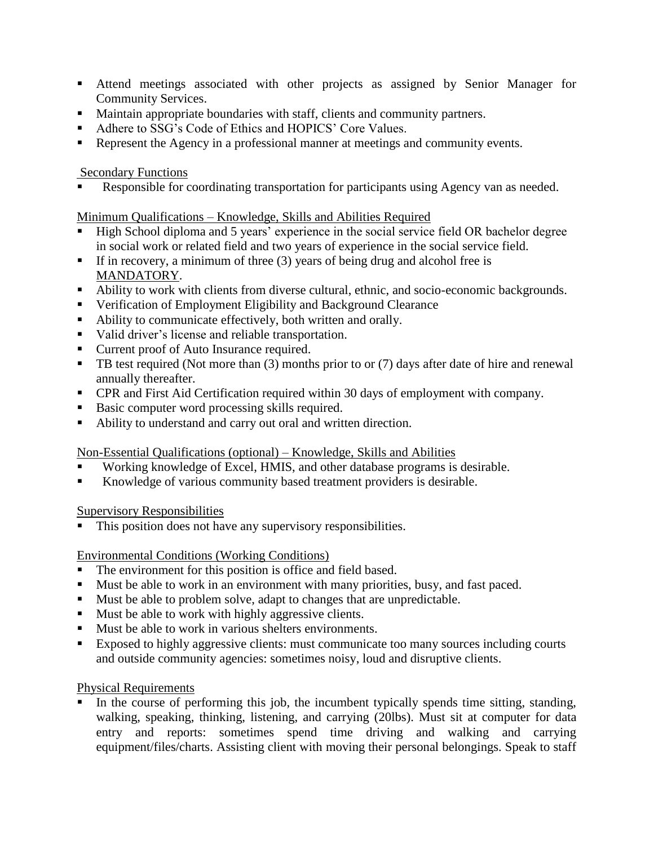- Attend meetings associated with other projects as assigned by Senior Manager for Community Services.
- Maintain appropriate boundaries with staff, clients and community partners.
- Adhere to SSG's Code of Ethics and HOPICS' Core Values.
- Represent the Agency in a professional manner at meetings and community events.

## Secondary Functions

Responsible for coordinating transportation for participants using Agency van as needed.

# Minimum Qualifications – Knowledge, Skills and Abilities Required

- High School diploma and 5 years' experience in the social service field OR bachelor degree in social work or related field and two years of experience in the social service field.
- If in recovery, a minimum of three  $(3)$  years of being drug and alcohol free is MANDATORY.
- Ability to work with clients from diverse cultural, ethnic, and socio-economic backgrounds.
- Verification of Employment Eligibility and Background Clearance
- Ability to communicate effectively, both written and orally.
- valid driver's license and reliable transportation.
- Current proof of Auto Insurance required.
- TB test required (Not more than (3) months prior to or (7) days after date of hire and renewal annually thereafter.
- CPR and First Aid Certification required within 30 days of employment with company.
- Basic computer word processing skills required.
- Ability to understand and carry out oral and written direction.

### Non-Essential Qualifications (optional) – Knowledge, Skills and Abilities

- Working knowledge of Excel, HMIS, and other database programs is desirable.
- Knowledge of various community based treatment providers is desirable.

Supervisory Responsibilities

This position does not have any supervisory responsibilities.

Environmental Conditions (Working Conditions)

- The environment for this position is office and field based.
- Must be able to work in an environment with many priorities, busy, and fast paced.
- Must be able to problem solve, adapt to changes that are unpredictable.
- Must be able to work with highly aggressive clients.
- Must be able to work in various shelters environments.
- Exposed to highly aggressive clients: must communicate too many sources including courts and outside community agencies: sometimes noisy, loud and disruptive clients.

# Physical Requirements

In the course of performing this job, the incumbent typically spends time sitting, standing, walking, speaking, thinking, listening, and carrying (20lbs). Must sit at computer for data entry and reports: sometimes spend time driving and walking and carrying equipment/files/charts. Assisting client with moving their personal belongings. Speak to staff